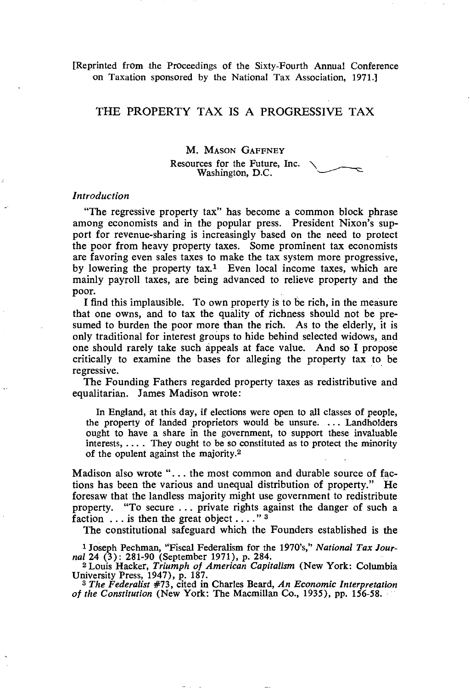[Reprinted from the Proceedings of the Sixty-Fourth Annual Conference on Taxation sponsored by the National Tax Association, 1971.]

## THE PROPERTY TAX IS A PROGRESSIVE TAX

#### M. MASON GAFFNEY

Resources for the Future, Inc. \ Washington, D.C.

#### **Introduction**

"The regressive property tax" has become a common block phrase among economists and in the popular press. President Nixon's support for revenue-sharing is increasingly based on the need to protect the poor from heavy property taxes. Some prominent tax economists are favoring even sales taxes to make the tax system more progressive, by lowering the property tax.<sup>1</sup> Even local income taxes, which are mainly payroll taxes, are being advanced to relieve property and the poor. I find this implausible. To own property is to be rich, in the measure

that one owns, and to tax the quality of richness should not be presumed to burden the poor more than the rich. As to the elderly, it is only traditional for interest groups to hide behind selected widows, and one should rarely take such appeals at face value. And so I propose critically to examine the bases for alleging the property tax to be

The Founding Fathers regarded property taxes as redistributive and equalitarian. James Madison wrote:

In England, at this day, if elections were open to all classes of people, the property of landed proprietors would be unsure. ... Landholders ought to have a share in the government, to support these invaluable interests,  $\dots$ . They ought to be so constituted as to protect the minority of the opulent against the majority.2

Madison also wrote"... the most common and durable source of factions has been the various and unequal distribution of property." He foresaw that the landless majority might use government to redistribute property. "To secure ... private rights against the danger of such a faction  $\ldots$  is then the great object...."<sup>3</sup>

The constitutional safeguard which the Founders established is the

<sup>1</sup> Joseph Pechman, "Fiscal Federalism for the 1970's," National Tax Jour-

<sup>2</sup> Louis Hacker, *Triumph of American Capitalism* (New York: Columbia<br>University Press, 1947), p. 187.<br><sup>3</sup> The Federalist #73, cited in Charles Beard, *An Economic Interpretation*<br>of the Constitution (New York: The Macmil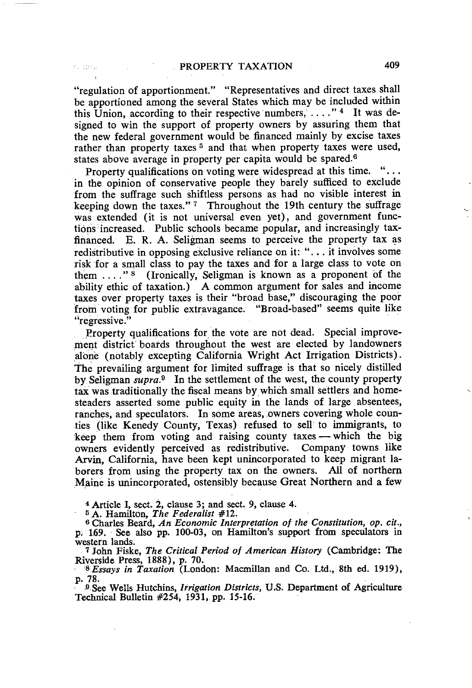a carteria

"regulation of apportionment." "Representatives and direct taxes shall be apportioned among the several States which may be included within this Union, according to their respective numbers,  $\ldots$ ."<sup>4</sup> It was designed to win the support of property owners by assuring them that the new federal government would be financed mainly by excise taxes rather than property taxes<sup>5</sup> and that when property taxes were used, states above average in property per capita would be spared.6

Property qualifications on voting were widespread at this time. " $\dots$ in the opinion of conservative people they barely sufficed to exclude from the suffrage such shiftless persons as had no visible interest in keeping down the taxes."<sup>7</sup> Throughout the 19th century the suffrage was extended (it is not universal even yet), and government functions increased. Public schools became popular, and increasingly taxfinanced. E. R. A. Seligman seems to perceive the property tax as redistributive in opposing exclusive reliance on it: ".. . it involves some risk for a small class to pay the taxes and for a large class to vote on them  $\ldots$ ."<sup>8</sup> (Ironically, Seligman is known as a proponent of the ability ethic of taxation.) A common argument for sales and income taxes over property taxes is their "broad base," discouraging the poor from voting for public extravagance. "Broad-based" seems quite like

Property qualifications for the vote are not dead. Special improvement district boatds throughout the west are elected by landowners alone (notably excepting California Wright Act Irrigation Districts). The prevailing argument for limited suffrage is that so nicely distilled by Seligman  $supra.9$  In the settlement of the west, the county property tax was traditionally the fiscal means by which small settlers and homesteaders asserted some public equity in the lands of large absentees, ranches, and speculators. In some areas, owners covering whole counties (like Kenedy County, Texas) refused to sell to immigrants, to keep them from voting and raising county taxes -- which the big owners evidently perceived as redistributive. Company towns like<br>Arvin, California, have been kept unincorporated to keep migrant laborers from using the property tax on the owners. All of northern Maine is unincorporated, ostensibly because Great Northern and a few

4 Article I, sect. 2, clause 3; and sect. 9, clause 4.<br><sup>5</sup> A. Hamilton, *The Federalist* #12.<br><sup>6</sup> Charles Beard, *An Economic Interpretation of the Constitution, op. cit.,* p. 169. See also pp. 100-03, on Hamilton's support from speculators in western lands.

<sup>7</sup> John Fiske, *The Critical Period of American History* (Cambridge: The Riverside Press, 1888), p. 70.

<sup>8</sup> Essays in Taxation (London: Macmillan and Co. Ltd., 8th ed. 1919), p. 78.

p.78. 9.See Wells Hutchins, Irrigation Districts, U.S. Department of Agriculture Technical Bulletin #254, 1931, pp. 15-16.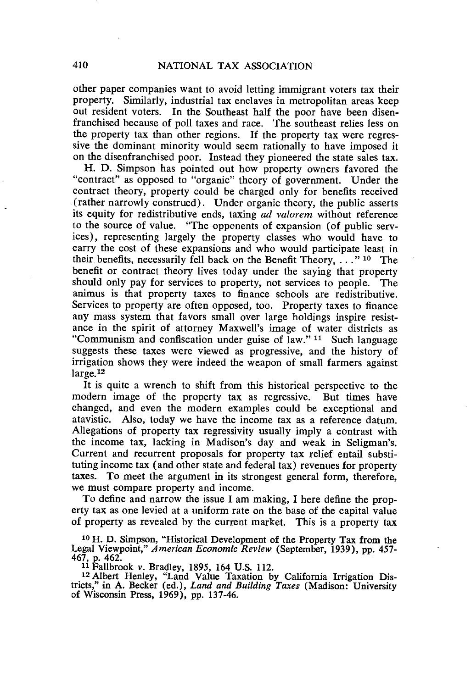other paper companies want to avoid letting immigrant voters tax their property. Similarly, industrial tax enclaves in metropolitan areas keep out resident voters. In the Southeast half the poor have been disenfranchised because of poll taxes and race. The southeast relies less on the property tax than other regions. If the property tax were regressive the dominant minority would seem rationally to have imposed it on the disenfranchised poor. Instead they pioneered the state sales tax.

H. D. Simpson has pointed out how property owners favored the "contract" as opposed to "organic" theory of government. Under the contract theory, property could be charged only for benefits received • (rather narrowly construed). Under organic theory, the public asserts its equity for redistributive ends, taxing ad valorem without reference to the source of value. "The opponents of expansion (of public services), representing largely the property classes who would have to carry the cost of these expansions and who would participate least in their benefits, necessarily fell back on the Benefit Theory,  $\dots$ "<sup>10</sup> The benefit or contract theory lives today under the saying that property should only pay for services to property, not services to people. The animus is that property taxes to finance schools are redistributive. Services to property are often opposed, too. Property taxes to finance any mass system that favors small over large holdings inspire resistance in the spirit of attorney Maxwell's image of water districts as "Communism and confiscation under guise of law." 11 Such language suggests these taxes were viewed as progressive, and the history of irrigation shows they were indeed the weapon of small farmers against large.<sup>12</sup>

It is quite a wrench to shift from this historical perspective to the modern image of the property tax as regressive. But times have changed, and even the modern examples could be exceptional and atavistic. Also, today we have the income tax as a reference datum. Allegations of property tax regressivity usually imply a contrast with the income tax, lacking in Madison's day and weak in Seligman's. Current and recurrent proposals for property tax relief entail substituting income tax (and other state and federal tax) revenues for property taxes. To meet the argument in its strongest general form, therefore, we must compare property and income.

To define and narrow the issue I am making, I here define the property tax as one levied at a uniform rate on the base of the capital value of property as revealed by the current market. This is a property tax

<sup>10</sup> H. D. Simpson, "Historical Development of the Property Tax from the Legal Viewpoint," *American Economic Review* (September, 1939), pp. 457-167, p. 462.<br>
<sup>11</sup> Fallbrook v. Bradley, 1895, 164 U.S. 112.

<sup>12</sup> Albert Henley, "Land Value Taxation by California Irrigation Districts," in A. Becker (ed.), *Land and Building Taxes* (Madison: University of Wisconsin Press, 1969), pp. 137-46.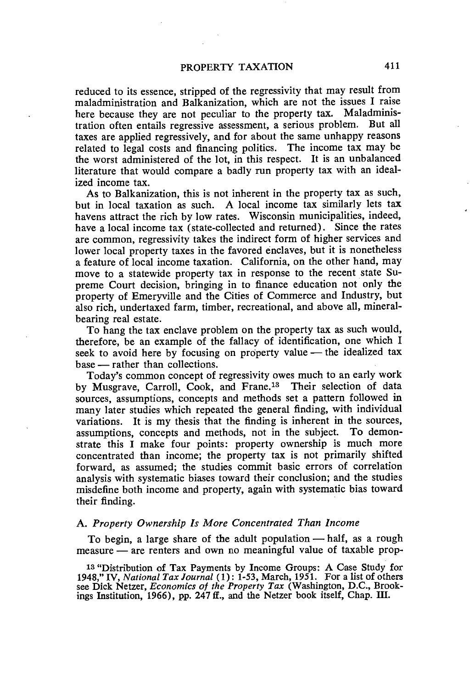# PROPERTY TAXATION 411

reduced to its essence, stripped of the regressivity that may result from maladministration and Balkanization, which are not the issues I raise here because they are not peculiar to the property tax. Maladministration often entails regressive assessment, a serious problem. But all taxes are applied regressively, and for about the same unhappy reasons related to legal costs and financing politics. The income tax may be the worst administered of the lot, in this respect. It is an unbalanced literature that would compare a badly run property tax with an idealized income tax.

As to Balkanization, this is not inherent in the property tax as such, but in local taxation as such. A local income tax similarly lets tax havens attract the rich by low rates. Wisconsin municipalities, indeed, have a local income tax (state-collected and returned). Since the rates are common, regressivity takes the indirect form of higher services and lower local property taxes in the favored enclaves, but it is nonetheless a feature of local income taxation. California, on the other hand, may move to a statewide property tax in response to the recent state Supreme Court decision, bringing in to finance education not only the property of Emeryville and the Cities of Commerce and Industry, but also rich, undertaxed farm, timber, recreational, and above all, mineralbearing real estate.

To hang the tax enclave problem on the property tax as such would, therefore, be an example of the fallacy of identification, one which I seek to avoid here by focusing on property value — the idealized tax base — rather than collections.

Today's common concept of regressivity owes much to an early work by Musgrave, Carroll, Cook, and Frane.<sup>13</sup> Their selection of data sources, assumptions, concepts and methods set a pattern followed in many later studies which repeated the general finding, with individual variations. It is my thesis that the finding is inherent in the sources, assumptions, concepts and methods, not in the subject. To demonstrate this I make four points: property ownership is much more concentrated than income; the property tax is not primarily shifted forward, as assumed; the studies commit basic errors of correlation analysis with systematic biases toward their conclusion; and the studies misdefine both income and property, again with systematic bias toward their finding.

## A. Property Ownership is More Concentrated Than income

To begin, a large share of the adult population —half, as a rough measure — are renters and own no meaningful value of taxable prop-

<sup>13</sup> "Distribution of Tax Payments by Income Groups: A Case Study for 1948," IV, National Tax Journal (1): 1-53, March, 1951. For a list of others see Dick Netzer, Economics of the Property Tax (Washington, D.C., Brookings Institution, 1966), pp. 247 ff., and the Netzer book itself, Chap. III.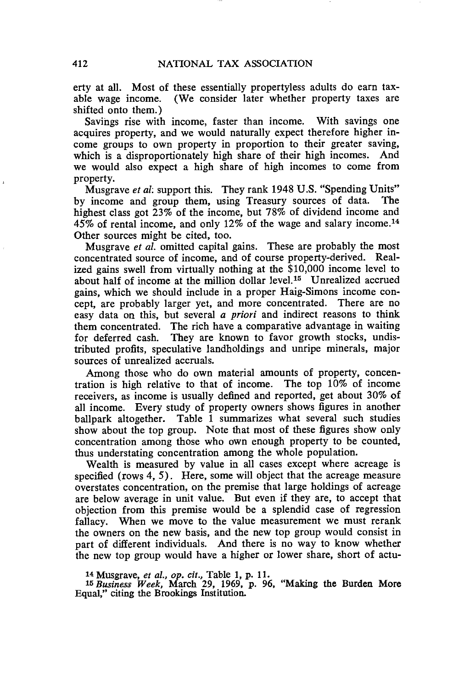erty at all. Most of these essentially propertyless adults do earn tax- able wage income. (We consider later whether property taxes are shifted onto them.)

Savings rise with income, faster than income. With savings one acquires property, and we would naturally expect therefore higher in- come groups to own property in proportion to their greater saving, which is a disproportionately high share of their high incomes. And we would also expect a high share of high incomes to come from property.<br>Musgrave *et al*: support this. They rank 1948 U.S. "Spending Units"

by income and group them, using Treasury sources of data. The highest class got 23% of the income, but 78% of dividend income and  $45\%$  of rental income, and only 12% of the wage and salary income.<sup>14</sup> Other sources might be cited, too.

Musgrave et al. omitted capital gains. These are probably the most concentrated source of income, and of course property-derived. Realized gains swell from virtually nothing at the \$10,000 income level to about half of income at the million dollar level.15 Unrealized accrued gains, which we should include in a proper Haig-Simons income concept, are probably larger yet, and more concentrated. There are no easy data on this, but several a priori and indirect reasons to think them concentrated. The rich have a comparative advantage in waiting for deferred cash. They are known to favor growth stocks, undistributed profits, speculative landholdings and unripe minerals, major sources of unrealized accruals.

Among those who do own material amounts of property, concentration is high relative to that of income. The top 10% of income receivers, as income is usually defined and reported, get about 30% of all income. Every study of property owners shows figures in another ballpark altogether. Table 1 summarizes what several such studies show about the top group. Note that most of these figures show only concentration among those who own enough property to be counted, thus understating concentration among the whole population.

Wealth is measured by value in all cases except where acreage is specified (rows  $4, 5$ ). Here, some will object that the acreage measure overstates concentration, on the premise that large holdings of acreage are below average in unit value. But even if they are, to accept that objection from this premise would be a splendid case of regression fallacy. When we move to the value measurement we must rerank the owners on the new basis, and the new top group would consist in part of different individuals. And there is no way to know whether the new top group would have a higher or lower share, short of actu-

<sup>14</sup> Musgrave, *et al., op. cit.*, Table 1, p. 11.<br><sup>15</sup> Business Week, March 29, 1969, p. 96, "Making the Burden More Equal," citing the Brookings Institution.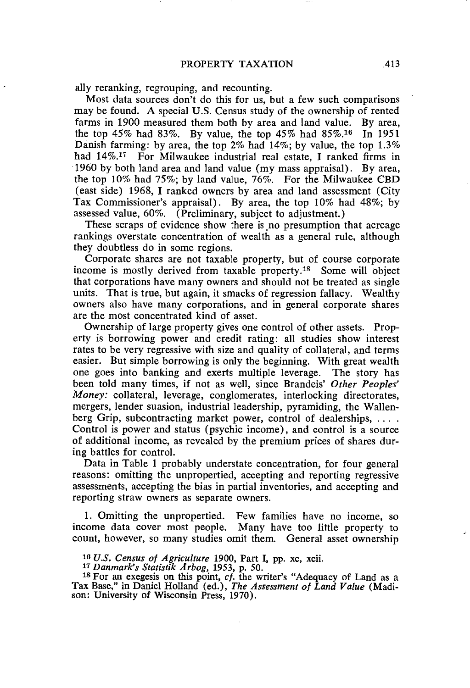ally reranking, regrouping, and recounting. Most data sources don't do this for us, but a few such comparisons may be found. A special U.S. Census study of the ownership of rented farms in 1900 measured them both by area and land value. By area, the top 45% had 83%. By value, the top 45% had  $85\%$  16 In 1951 Danish farming: by area, the top 2% had 14%; by value, the top 1.3% had 14%.<sup>17</sup> For Milwaukee industrial real estate, I ranked firms in 1960 by both land area and land value (my mass appraisal). By area, the top 10% had 75%; by land value, 76%. For the Milwaukee CBD (east side) 1968, I ranked owners by area and land assessment (City Tax Commissioner's appraisal). By area, the top 10% had 48%; by

These scraps of evidence show there is no presumption that acreage rankings overstate concentration of wealth as a general rule, although they doubtless do in some regions.

Corporate shares are not taxable property, but of course corporate income is mostly derived from taxable property.18 Some will object that corporations have many owners and should not be treated as single units. That is true, but again, it smacks of regression fallacy. Wealthy owners also have many corporations, and in general corporate shares are the most concentrated kind of asset.

Ownership of large property gives one control of other assets. Property is borrowing power and credit rating: all studies show interest rates to be very regressive with size and quality of collateral, and terms easier. But simple borrowing is only the beginning. With great wealth one goes into banking and exerts multiple leverage. The story has been told many times, if not as well, since Brandeis' Other Peoples' Money: collateral, leverage, conglomerates, interlocking directorates, mergers, lender suasion, industrial leadership, pyramiding, the Wallen-<br>berg Grip, subcontracting market power, control of dealerships, ... Control is power and status (psychic income), and control is a source of additional income, as revealed by the premium prices of shares during battles for control.

Data in Table 1 probably understate concentration, for four general reasons: omitting the unpropertied, accepting and reporting regressive assessments, accepting the bias in partial inventories, and accepting and reporting straw owners as separate owners.

1. Omitting the unpropertied. Few families have no income, so income data cover most people. Many have too little property to count, however, so many studies omit them. General asset ownership

<sup>16</sup> U.S. Census of Agriculture 1900, Part I, pp. xc, xcii.<br><sup>17</sup> Danmark's Statistik Arbog, 1953, p. 50.<br><sup>18</sup> For an exegesis on this point, cf. the writer's "Adequacy of Land as a<br>Tax Base," in Daniel Holland (ed.), *The* son: University of Wisconsin Press, 1970).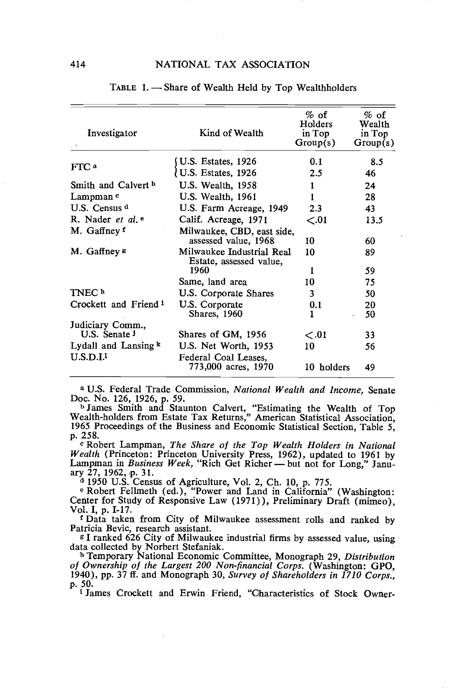## 414 NATIONAL TAX ASSOCIATION

| Investigator                      | Kind of Wealth                                       | $%$ of<br>Holders<br>in Top<br>Group(s) | $%$ of<br>Wealth<br>in Top<br>Group(s) |
|-----------------------------------|------------------------------------------------------|-----------------------------------------|----------------------------------------|
| FTC <sup>a</sup>                  | U.S. Estates, 1926                                   | 0.1                                     | 8.5                                    |
|                                   | <b>U.S. Estates, 1926</b>                            | 2.5                                     | 46                                     |
| Smith and Calvert b               | U.S. Wealth, 1958                                    | 1                                       | 24                                     |
| Lampman <sup>e</sup>              | U.S. Wealth, 1961                                    | 1                                       | 28                                     |
| U.S. Census $d$                   | U.S. Farm Acreage, 1949                              | 2.3                                     | 43                                     |
| R. Nader et al. <sup>e</sup>      | Calif. Acreage, 1971                                 | < 0.01                                  | 13.5                                   |
| M. Gaffney f                      | Milwaukee, CBD, east side,<br>assessed value, 1968   | 10                                      | 60                                     |
| M. Gaffney g                      | Milwaukee Industrial Real<br>Estate, assessed value, | 10                                      | 89                                     |
|                                   | 1960                                                 | 1                                       | 59                                     |
|                                   | Same, land area                                      | 10                                      | 75                                     |
| TNEC <sup>h</sup>                 | U.S. Corporate Shares                                | 3                                       | 50                                     |
| Crockett and Friend <sup>1</sup>  | U.S. Corporate<br>Shares, 1960                       | 0.1<br>1                                | 20<br>50                               |
| Judiciary Comm.,<br>U.S. Senate J | Shares of GM, 1956                                   | < 0.01                                  | 33                                     |
| Lydall and Lansing $k$            | U.S. Net Worth, 1953                                 | 10                                      | 56                                     |
| U.S.D.I.1                         | Federal Coal Leases,<br>773,000 acres, 1970          | 10 holders                              | 49                                     |

## TABLE 1. — Share of Wealth Held by Top Wealthholders

<sup>a</sup> U.S. Federal Trade Commission, National Wealth and Income, Senate Doc. No. 126, 1926, p. 59.

b James Smith and Staunton Calvert, "Estimating the Wealth of Top Wealth-holders from Estate Tax Returns," American Statistical Association, 1965 Proceedings of the Business and Economic Statistical Section, Table 5, p. 258.

<sup>P.</sup> 2008.<br>
CRObert Lampman, *The Share of the Top Wealth Holders in National*<br> *Wealth* (Princeton: Princeton University Press, 1962), updated to 1961 by<br>
Lampman in *Business Week*, "Rich Get Richer — but not for Long,"

Center for Study of Responsive Law (1971)), Preliminary Draft (mimeo), Vol. I, p. I-17.<br>
I Data taken from City of Milwaukee assessment rolls and ranked by Patricia Bevic, research assistant.

g ranked 626 City of Milwaukee industrial firms by assessed value, using data collected by Norbert Stefaniak.<br>
<sup>h</sup> Temporary National Economic Committee, Monograph 29, *Distribution* 

of Ownership of the Largest 200 Non-financial Corps. (Washington: GPO, 1940), pp. 37 ff. and Monograph 30, Survey of Shareholders in 1710 Corps., p. 50.<br>
<sup>1</sup> James Crockett and Erwin Friend, "Characteristics of Stock Owner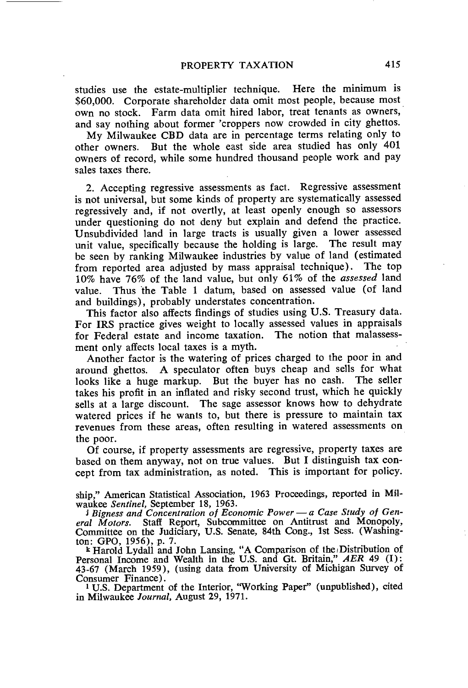studies use the estate-multiplier technique. Here the minimum is \$60,000. Corporate shareholder data omit most people, because most own no stock. Farm data omit hired labor, treat tenants as owners, and say nothing about former 'croppers now crowded in city ghettos.<br>My Milwaukee CBD data are in percentage terms relating only to

other owners. But the whole east side area studied has only 401 owners of record, while some hundred thousand people work and pay sales taxes there.

2. Accepting regressive assessments as fact. Regressive assessment is not universal, but some kinds of property are systematically assessed regressively and, if not overtly, at least openly enough so assessors under questioning do not deny but explain and defend the practice. Unsubdivided land in large tracts is usually given a lower assessed unit value, specifically because the holding is large. The result may be seen by ranking Milwaukee industries by value of land (estimated from reported area adjusted by mass appraisal technique). The top 10% have 76% of the land value, but only 61% of the assessed land value. Thus the Table 1 datum, based on assessed value (of land and buildings), probably understates concentration.

This factor also affects findings of studies using U.S. Treasury data. For IRS practice gives weight to locally assessed values in appraisals for Federal estate and income taxation. The notion that malassessment only affects local taxes is a myth.

Another factor is the watering of prices charged to the poor in and around ghettos. A speculator often buys cheap and sells for what looks like a huge markup. But the buyer has no cash. The seller takes his profit in an inflated and risky second trust, which he quickly sells at a large discount. The sage assessor knows how to dehydrate watered prices if he wants to, but there is pressure to maintain tax revenues from these areas, often resulting in watered assessments on

the poor. Of course, if property assessments are regressive, property taxes are based on them anyway, not on true values. But I distinguish tax concept from tax administration, as noted. This is important for policy.

ship," American Statistical Association, 1963 Proceedings, reported in Mil-waukee Sentinel, September 18, 1963.

i Bigness and Concentration of Economic Power — a Case Study of General Motors. Staff Report, Subcommittee on Antitrust and Monopoly, Committee on the Judiciary, U.S. Senate, 84th Cong., 1st Sess. (Washing-

ton: GPO, 1956), p. 7.<br>
<sup>k</sup> Harold Lydall and John Lansing, "A Comparison of the Distribution of Personal Income and Wealth in the U.S. and Gt. Britain," *AER* 49 (I): 43-67 (March 1959), (using data from University of Michigan Survey of Consumer Finance). 1 U.S. Department of the Interior, "Working Paper" (unpublished), cited

in Milwaukee Journal, August 29, 1971.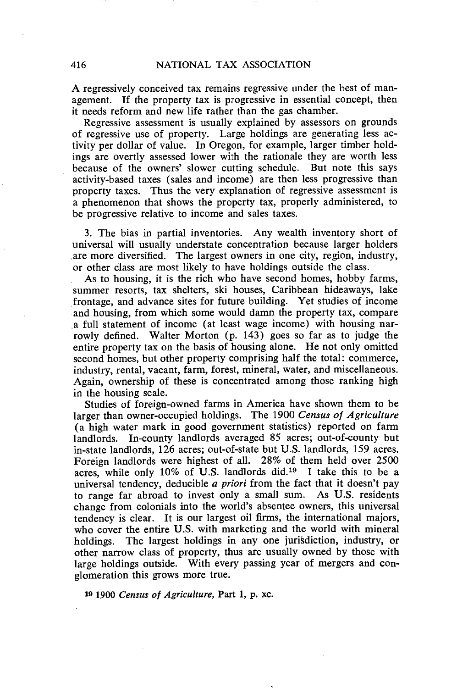A regressively conceived tax remains regressive under the best of management. If the property tax is progressive in essential concept, then it needs reform and new life rather than the gas chamber.

Regressive assessment is usually explained by assessors on grounds of regressive use of property. Large holdings are generating less activity per dollar of value. In Oregon, for example, larger timber holdings are overtly assessed lower with the rationale they are worth less because of the owners' slower cutting schedule. But note this says activity-based taxes (sales and income) are then less progressive than property taxes. Thus the very explanation of regressive assessment is a phenomenon that shows the property tax, properly administered, to be progressive relative to income and sales taxes.

3. The bias in partial inventories. Any wealth inventory short of universal will usually understate concentration because larger holders are more diversified. The largest owners in one city, region, industry, or other class are most likely to have holdings outside the class.

As to housing, it is the rich who have second homes, hobby farms, summer resorts, tax shelters, ski houses, Caribbean hideaways, lake frontage, and advance sites for future building. Yet studies of income and housing, from which some would damn the property tax, compare ,a full statement of income (at least wage income) with housing narrowly defined. Walter Morton (p. 143) goes so far as to judge the entire property tax on the basis of housing alone. He not only omitted second homes, but other property comprising half the total: commerce, industry, rental, vacant, farm, forest, mineral, water, and miscellaneous. Again, ownership of these is concentrated among those ranking high

Studies of foreign-owned farms in America have shown them to be larger than owner-occupied holdings. The 1900 Census of Agriculture (a high water mark in good government statistics) reported on farm landlords. In-county landlords averaged 85 acres; out-of-county but in-state landlords, 126 acres; out-of-state but U.S. landlords, 159 acres. Foreign landlords were highest of all. 28% of them held over 2500 acres, while only 10% of U.S. landlords did.'9 I take this to be a universal tendency, deducible  $a$  priori from the fact that it doesn't pay to range far abroad to invest only a small sum. As U.S. residents change from colonials into the world's absentee owners, this universal tendency is clear. It is our largest oil firms, the international majors, who cover the entire U.S. with marketing and the world with mineral holdings. The largest holdings in any one jurisdiction, industry, or other narrow class of property, thus are usually owned by those with large holdings outside. With every passing year of mergers and con- glomeration this grows more true.

19 1900 Census of Agriculture, Part 1, p. xc.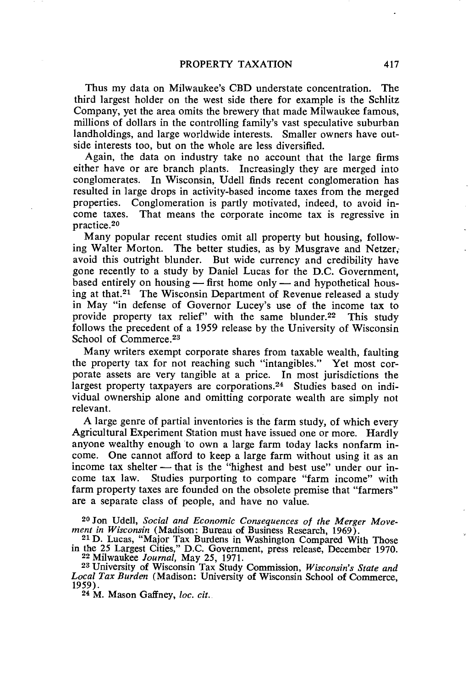Thus my data on Milwaukee's CBD understate concentration. The third largest holder on the west side there for example is the Schlitz Company, yet the area omits the brewery that made Milwaukee famous, millions of dollars in the controlling family's vast speculative suburban landholdings, and large worldwide interests. Smaller owners have outside interests too, but on the whole are less diversified.

Again, the data on industry take no account that the large firms either have or are branch plants. Increasingly they are merged into conglomerates. In Wisconsin, Udell finds recent conglomeration has resulted in large drops in activity-based income taxes from the merged properties. Conglomeration is partly motivated, indeed, to avoid in-<br>come taxes. That means the corporate income tax is regressive in<br>practice.<sup>20</sup>

Many popular recent studies omit all property but housing, following Walter Morton. The better studies, as by Musgrave and Netzer, avoid this outright blunder. But wide currency and credibility have gone recently to a study by Daniel Lucas for the D.C. Government, based entirely on housing — first home only — and hypothetical housing at that.<sup>21</sup> The Wisconsin Department of Revenue released a study in May "in defense of Governor Lucey's use of the income tax to provide property tax relief" with the same blunder.22 This study follows the precedent of a 1959 release by the University of Wisconsin School of Commerce.<sup>23</sup>

Many writers exempt corporate shares from taxable wealth, faulting the property tax for not reaching such "intangibles." Yet most corporate assets are very tangible at a price. In most jurisdictions the largest property taxpayers are corporations.<sup>24</sup> Studies based on individual ownership alone and omitting corporate wealth are simply not relevant.

A large genre of partial inventories is the farm study, of which every Agricultural Experiment Station must have issued one or more. Hardly anyone wealthy enough to own a large farm today lacks nonfarm income. One cannot afford to keep a large farm without using it as an income tax shelter — that is the "highest and best use" under our in-<br>come tax law. Studies purporting to compare "farm income" with farm property taxes are founded on the obsolete premise that "farmers" are a separate class of people, and have no value.

<sup>20</sup> Jon Udell, Social and Economic Consequences of the Merger Move-<br>ment in Wisconsin (Madison: Bureau of Business Research, 1969).

21D. Lucas, "Major Tax Burdens in Washington Compared With Those

in the 25 Largest Cities," D.C. Government, press release, December 1970.<br><sup>22</sup> Milwaukee *Journal*, May 25, 1971.<br><sup>23</sup> University of Wisconsin Tax Study Commission, *Wisconsin's State and*<br> $Local Tax Burden$  (Madison: University of W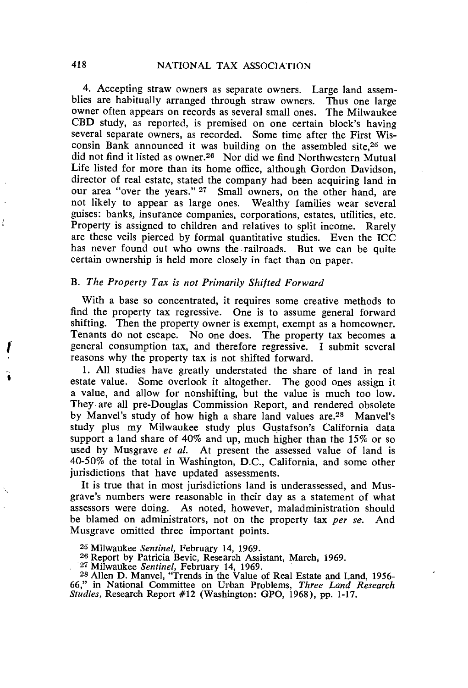4. Accepting straw owners as separate owners. Large land assemblies are habitually arranged through straw owners. Thus one large owner often appears on records as several small ones. The Milwaukee CBD study, as reported, is premised on one certain block's having several separate owners, as recorded. Some time after the First Wisconsin Bank announced it was building on the assembled site,25 we did not find it listed as owner.26 Nor did we find Northwestern Mutual Life listed for more than its home office, although Gordon Davidson, director of real estate, stated the company had been acquiring land in our area "over the years." 27 Small owners, on the other hand, are not likely to appear as large ones. Wealthy families wear several Property is assigned to children and relatives to split income. Rarely are these veils pierced by formal quantitative studies. Even the ICC has never found out who owns the railroads. But we can be quite certain ownership is held more closely in fact than on paper.

#### B. The Property Tax is not Primarily Shifted Forward

With a base so concentrated, it requires some creative methods to find the property tax regressive. One is to assume general forward shifting. Then the property owner is exempt, exempt as a homeowner. Tenants do not escape. No one does. The property tax becomes a general consumption tax, and therefore regressive. I submit several reasons why the property tax is not shifted forward.

1. All studies have greatly understated the share of land in real estate value. Some overlook it altogether. The good ones assign it a value, and allow for nonshifting, but the value is much too low. They. are all pre-Douglas Commission Report, and rendered obsolete by Manvel's study of how high a share land values are.28 Manvel's study plus my Milwaukee study plus Gustafson's California data support a land share of 40% and up, much higher than the 15% or so used by Musgrave et al. At present the assessed value of land is 40-50% of the total in Washington, D.C., California, and some other jurisdictions that have updated assessments.

It is true that in most jurisdictions land is underassessed, and Musgrave's numbers were reasonable in their day as a statement of what assessors were doing. As noted, however, maladministration should be blamed on administrators, not on the property tax per se. And Musgrave omitted three important points.

<sup>25</sup> Milwaukee Sentinel, February 14, 1969.<br><sup>26</sup> Report by Patricia Bevic, Research Assistant, March, 1969.

27 Milwaukee Sentinel, February 14, 1969.<br>28 Allen D. Manyel, "Trends in the Value of Real Estate and Land, 1956-66," in National Committee on Urban Problems, Three Land Research Studies, Research Report #12 (Washington: GPO, 1968), pp. 1-17.

ī.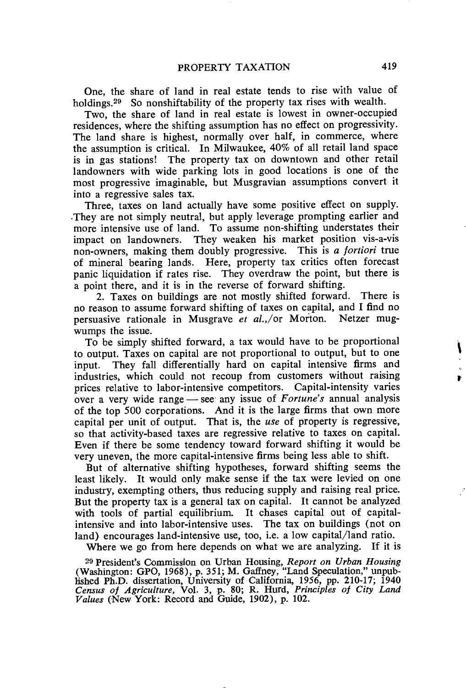One, the share of land in real estate tends to rise with value of holdings.<sup>29</sup> So nonshiftability of the property tax rises with wealth.

Two, the share of land in real estate is lowest in owner-occupied residences, where the shifting assumption has no effect on progressivity. The land share is highest, normally over half, in commerce, where the assumption is critical. In Milwaukee, 40% of all retail land space is in gas stations! The property tax on downtown and other retail landowners with wide parking lots in good locations is one of the most progressive imaginable, but Musgravian assumptions convert it into a regressive sales tax.

Three, taxes on land actually have some positive effect on supply.<br>They are not simply neutral, but apply leverage prompting earlier and more intensive use of land. To assume non-shifting understates their impact on landowners. They weaken his market position vis-a-vis impact on landowners. They weaken his market position vis-a-vis non-owners, making them doubly progressive. This is *a fortiori* true of mineral bearing lands. Here, property tax critics often forecast panic liquidation if rates rise. They overdraw the point, but there is a point there, and it is in the reverse of forward shifting.

2. Taxes on buildings are not mostly shifted forward. There is no reason to assume forward shifting of taxes on capital, and I find no persuasive rationale in Musgrave et al.,/or Morton. Netzer mugwumps the issue.

To be simply shifted forward, a tax would have to be proportional to output. Taxes on capital are not proportional to output, but to one input. They fall differentially hard on capital intensive firms and industries, which could not recoup from customers without raising prices relative to labor-intensive competitors. Capital-intensity varies over a very wide range — see any issue of  $\textit{Fortune's}$  annual analysis of the top 500 corporations. And it is the large firms that own more capital per unit of output. That is, the use of property is regressive, so that activity-based taxes are regressive relative to taxes on capital. Even if there be some tendency toward forward shifting it would be very uneven, the more capital-intensive firms being less able to shift.

But of alternative shifting hypotheses, forward shifting seems the least likely. It would only make sense if the tax were levied on one industry, exempting others, thus reducing supply and raising real price. But the property tax is a general tax on capital. It cannot be analyzed with tools of partial equilibrium. It chases capital out of capitalintensive and into labor-intensive uses. The tax on buildings (not on land) encourages land-intensive use, too, i.e. a low capital/land ratio. Where we go from here depends on what we are analyzing. If it is

29 President's Commission on Urban Housing, Report on Urban Housing (Washington: GPO, 1968), p. 351; M. Gaffney, "Land Speculation," unpub-<br>hished Ph.D. dissertation, University of California, 1956, pp. 210-17; 1940<br>*Census of Agriculture*, Vol. 3, p. 80; R. Hurd, *Principles of City Land*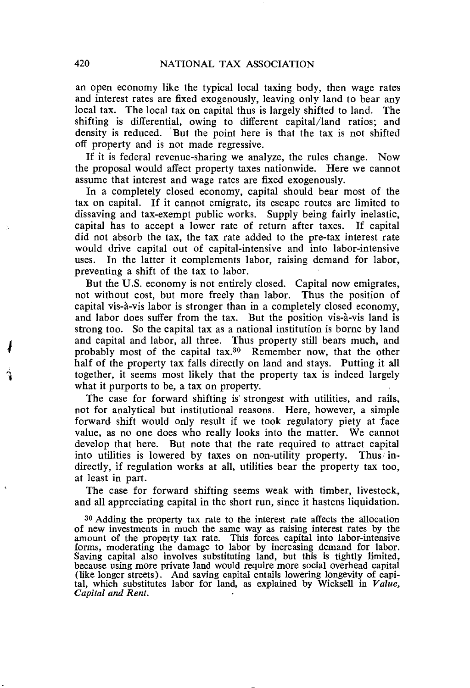an open economy like the typical local taxing body, then wage rates and interest rates are fixed exogenously, leaving only land to bear any local tax. The local tax on capital thus is largely shifted to land. The shifting is differential, owing to different capital/land ratios; and density is reduced. But the point here is that the tax is not shifted off property and is not made regressive.

If it is federal revenue-sharing we analyze, the rules change. Now the proposal would affect property taxes nationwide. Here we cannot assume that interest and wage rates are fixed exogenously.

In a completely closed economy, capital should bear most of the tax on capital. If it cannot emigrate, its escape routes are limited to dissaving and tax-exempt public works. Supply being fairly inelastic. capital has to accept a lower rate of return after taxes. If capital did not absorb the tax, the tax rate added to the pre-tax interest rate would drive capital out of capital-intensive and into labor-intensive uses. In the latter it complements labor, raising demand for labor, preventing a shift of the tax to labor.

But the U.S. economy is not entirely closed. Capital now emigrates, not without cost, but more freely than labor. Thus the position of capital vis-à-vis labor is stronger than in a completely closed economy, and labor does suffer from the tax. But the position vis-à-vis land is strong too. So the capital tax as a national institution is borne by land and capital and labor, all three. Thus property still bears much, and probably most of the capital tax.<sup>30</sup> Remember now, that the other half of the property tax falls directly on land and stays. Putting it all together, it seems most likely that the property tax is indeed largely what it purports to be, a tax on property.

The case for forward shifting is strongest with utilities, and rails, not for analytical but institutional reasons. Here, however, a simple forward shift would only result if we took regulatory piety at face value, as no one does who really looks into the matter. We cannot develop that here. But note that the rate required to attract capital into utilities is lowered by taxes on non-utility property. Thus indirectly, if regulation works at all, utilities bear the property tax too, at least in part.

The case for forward shifting seems weak with timber, livestock, and all appreciating capital in the short run, since it hastens liquidation.

 $30$  Adding the property tax rate to the interest rate affects the allocation of new investments in much the same way as raising interest rates by the of new investments in much the same way as raising interest rates by the amount of the property tax rate. This forces capital into labor-intensive forms, moderating the damage to labor by increasing demand for labor. Saving capital also involves substituting land, but this is tightly limited, because using more private land would require more social overhead capital (like longer streets). And saving capital entails lowering longevity of capital, which substitutes labor for land, as explained by Wicksell in *Value*, *Capital and Rent*.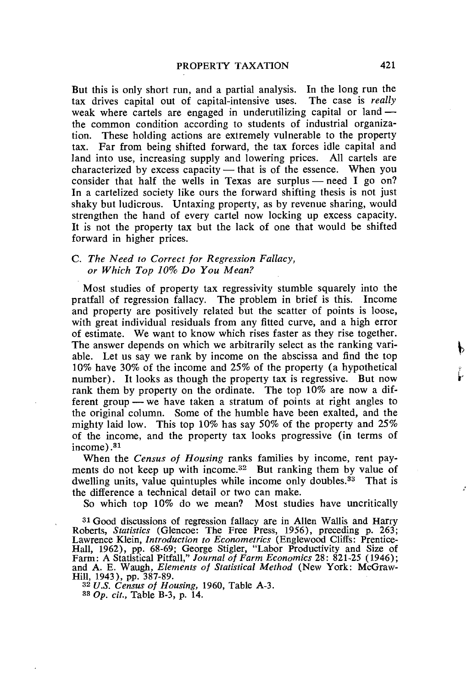But this is only short run, and a partial analysis. In the long run the tax drives capital out of capital-intensive uses. The case is really weak where cartels are engaged in underutilizing capital or land the common condition according to students of industrial organization. These holding actions are extremely vulnerable to the property tax. Far from being shifted forward, the tax forces idle capital and land into use, increasing supply and lowering prices. All cartels are characterized by excess capacity — that is of the essence. When you consider that half the wells in Texas are surplus — need I go on? In a cartelized society like ours the forward shifting thesis is not just shaky but ludicrous. Untaxing property, as by revenue sharing, would strengthen the hand of every cartel now locking up excess capacity. It is not the property tax but the lack of one that would be shifted forward in higher prices.

## C. The Need to Correct for Regression Fallacy, or Which Top 10% Do You Mean?

Most studies of property tax regressivity stumble squarely into the pratfall of regression fallacy. The problem in brief is this. Income and property are positively related but the scatter of points is loose, with great individual residuals from any fitted curve, and a high error of estimate. We want to know which rises faster as they rise together. The answer depends on which we arbitrarily select as the ranking variable. Let us say we rank by income on the abscissa and find the top 10% have 30% of the income and 25% of the property (a hypothetical number). It looks as though the property tax is regressive. But now rank them by property on the ordinate. The top 10% are now a different group — we have taken a stratum of points at right angles to the original column. Some of the humble have been exalted, and the mighty laid low. This top 10% has say 50% of the property and 25% of the income, and the property tax looks progressive (in terms of  $income)$   $31$ 

When the Census of Housing ranks families by income, rent payments do not keep up with income.<sup>32</sup> But ranking them by value of dwelling units, value quintuples while income only doubles. $33$  That is the difference a technical detail or two can make.<br>So which top 10% do we mean? Most studies have uncritically

So which top  $10\%$  do we mean?

<sup>31</sup> Good discussions of regression fallacy are in Allen Wallis and Harry Roberts, Statistics (Glencoe: The Free Press, 1956), preceding p. 263; Lawrence Klein, *Introduction to Econometrics* (Englewood Cliffs: Prentice-Hall, 1962), pp. 68-69; George Stigler, "Labor Productivity and Size of Farm: A Statistical Pitfall," Journal of Farm Economics 28: 821-25 (1946); and A. E. Waugh, Elements of Statistical Method (New York: McGraw-Hill, 194

 $32 \text{ U.S.}$  Census of Housing, 1960, Table A-3. Op. cit., Table B-3, p. 14.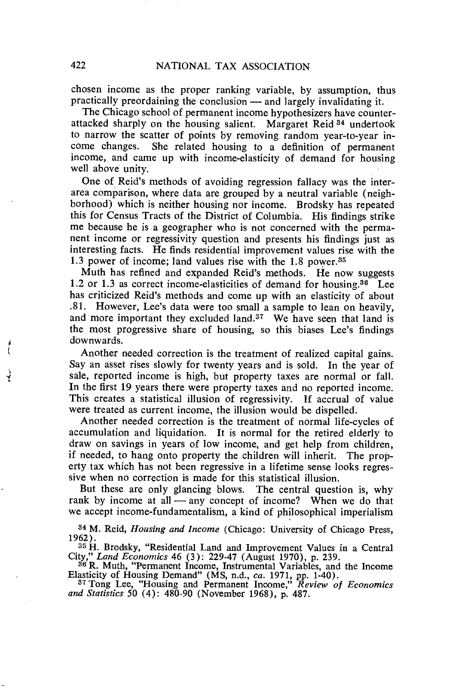chosen income as the proper ranking variable, by assumption, thus practically preordaining the conclusion — and largely invalidating it.

The Chicago school of permanent income hypothesizers have counterattacked sharply on the housing salient. Margaret Reid<sup>34</sup> undertook to narrow the scatter of points by removing random year-to-year income changes. She related housing to a definition of permanent income, and came up with income-elasticity of demand for housing well above unity.

One of Reid's methods of avoiding regression fallacy was the interarea comparison, where data are grouped by a neutral variable (neighborhood) which is neither housing nor income. Brodsky has repeated this for Census Tracts of the District of Columbia. His findings strike me because he is a geographer who is not concerned with the permanent income or regressivity question and presents his findings just as interesting facts. He finds residential improvement values rise with the 1.3 power of income; land values rise with the 1.8 power.35

Muth has refined and expanded Reid's methods. He now suggests 1.2 or 1.3 as correct income-elasticities of demand for housing.36 Lee has criticized Reid's methods and come up with an elasticity of about .81. However, Lee's data were too small a sample to lean on heavily, and more important they excluded  $\text{land}^{37}$ . We have seen that  $\text{land}$  is the most progressive share of housing, so this biases Lee's findings downwards.

Another needed correction is the treatment of realized capital gains. Say an asset rises slowly for twenty years and is sold. In the year of sale, reported income is high, but property taxes are normal or fall. In the first 19 years there were property taxes and no reported income. This creates a statistical illusion of regressivity. If accrual of value were treated as current income, the illusion would be dispelled.

Another needed correction is the treatment of normal life-cycles of accumulation and liquidation. It is normal for the retired elderly to draw on savings in years of low income, and get help from children, if needed, to hang onto property the children will inherit. The property tax which has not been regressive in a lifetime sense looks regressive when no correction is made for this statistical illusion.

But these are only glancing blows. The central question is, why rank by income at all — any concept of income? When we do that we accept income-fundamentalism, a kind of philosophical imperialism

<sup>34</sup> M. Reid, *Housing and Income* (Chicago: University of Chicago Press, 1962).<br>1962).<br><sup>35</sup> H. Brodsky, "Residential Land and Improvement Values in a Central<br>City," *Land Economics* 46 (3): 229-47 (August 1970), p. 239.<br>

Elasticity of Housing Demand" (MS, n.d., *ca.* 1971, pp. 1-40).<br><sup>37</sup> Tong Lee, "Housing and Permanent Income," *Review of Economics and Statistics 50* (4): 480-90 (November 1968), p. 487.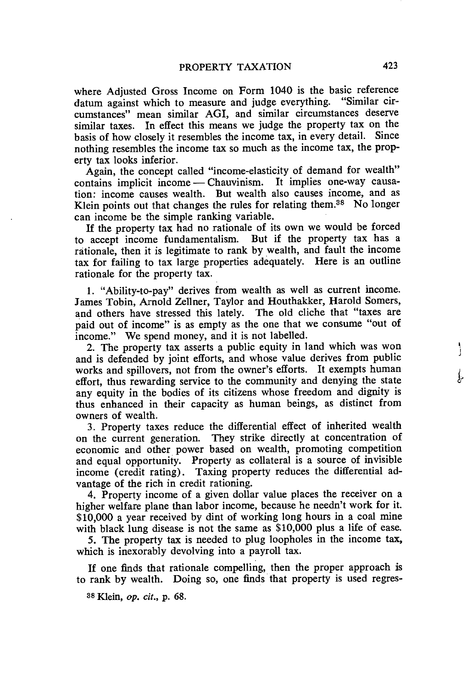where Adjusted Gross Income on Form 1040 is the basic reference datum against which to measure and judge everything. "Similar circumstances" mean similar AGI, and similar circumstances deserve similar taxes. In effect this means we judge the property tax on the basis of how closely it resembles the income tax, in every detail. Since nothing resembles the income tax so much as the income tax, the property tax looks inferior.

Again, the concept called "income-elasticity of demand for wealth" contains implicit income —Chauvinism. It implies one-way causation: income causes wealth. But wealth also causes income, and as Klein points out that changes the rules for relating them.<sup>38</sup> No longer can income be the simple ranking variable.

If the property tax had no rationale of its own we would be forced to accept income fundamentalism. But if the property tax has a rationale, then it is legitimate to rank by wealth, and fault the income tax for failing to tax large properties adequately. Here is an outline rationale for the property tax.

1. "Ability-to-pay" derives from wealth as well as current income. and others have stressed this lately. The old cliche that "taxes are paid out of income" is as empty as the one that we consume "out of income." We spend money, and it is not labelled.

2. The property tax asserts a public equity in land which was won and is defended by joint efforts, and whose value derives from public works and spillovers, not from the owner's efforts. It exempts human effort, thus rewarding service to the community and denying the state any equity in the bodies of its citizens whose freedom and dignity is thus enhanced in their capacity as human beings, as distinct from owners of wealth.

3. Property taxes reduce the differential effect of inherited wealth on the current generation. They strike directly at concentration of economic and other power based on wealth, promoting competition and equal opportunity. Property as collateral is a source of invisible income (credit rating). Taxing property reduces the differential advantage of the rich in credit rationing.

4. Property income of a given dollar value places the receiver on a higher welfare plane than labor income, because he needn't work for it. \$10,000 a year received by dint of working long hours in a coal mine with black lung disease is not the same as \$10,000 plus a life of ease.

5. The property tax is needed to plug loopholes in the income tax, which is inexorably devolving into a payroll tax.

If one finds that rationale compelling, then the proper approach is to rank by wealth. Doing so, one finds that property is used regres-

38 Klein, op. cit., p. 68.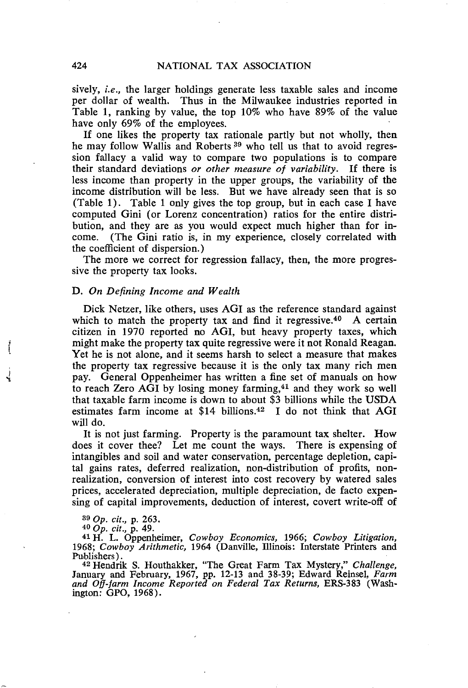sively, i.e., the larger holdings generate less taxable sales and income per dollar of wealth. Thus in the Milwaukee industries reported in Table 1, ranking by value, the top 10% who have 89% of the value have only 69% of the employees.

If one likes the property tax rationale partly but not wholly, then he may follow Wallis and Roberts 39 who tell us that to avoid regression fallacy a valid way to compare two populations is to compare their standard deviations or other measure of variability. If there is less income than property in the upper groups, the variability of the income distribution will be less. But we have already seen that is so (Table 1). Table 1 only gives the top group, but in each case I have computed Gini (or Lorenz concentration) ratios for the entire distribution, and they are as you would expect much higher than for in-<br>come. (The Gini ratio is, in my experience, closely correlated with (The Gini ratio is, in my experience, closely correlated with the coefficient of dispersion.)

The more we correct for regression fallacy, then, the more progressive the property tax looks.

## D. On Defining Income and Wealth

Dick Netzer, like others, uses AGI as the reference standard against which to match the property tax and find it regressive.<sup>40</sup> A certain citizen in 1970 reported no AG!, but heavy property taxes, which might make the property tax quite regressive were it not Ronald Reagan. Yet he is not alone, and it seems harsh to select a measure that makes the property tax regressive because it is the only tax many rich men pay. General Oppenheimer has written a fine set of manuals on how to reach Zero  $\overline{AGI}$  by losing money farming,<sup>41</sup> and they work so well that taxable farm income is down to about \$3 billions while the USDA estimates farm income at  $$14$  billions.<sup>42</sup> I do not think that AGI will do.

It is not just farming. Property is the paramount tax shelter. How does it cover thee? Let me count the ways. There is expensing of intangibles and soil and water conservation, percentage depletion, capital gains rates, deferred realization, non-distribution of profits, nonrealization, conversion of interest into cost recovery by watered sales prices, accelerated depreciation, multiple depreciation, de facto expensing of capital improvements, deduction of interest, covert write-off of

<sup>39</sup> Op. cit., p. 263.<br>
<sup>40</sup> Op. cit., p. 49.<br>
<sup>41</sup>H. L. Oppenheimer, Cowboy Economics, 1966; Cowboy Litigation,<br>
1968; Cowboy Arithmetic, 1964 (Danville, Illinois: Interstate Printers and<br>
Publishers).

Publishers).<br><sup>42</sup> Hendrik S. Houthakker, "The Great Farm Tax Mystery," *Challenge,*<br>January and February, 1967, pp. 12-13 and 38-39; Edward Reinsel, *Farm*<br>*and Off-farm Income Reported on Federal Tax Returns*, ERS-383 (Wa ington: GPO, 1968).

ţ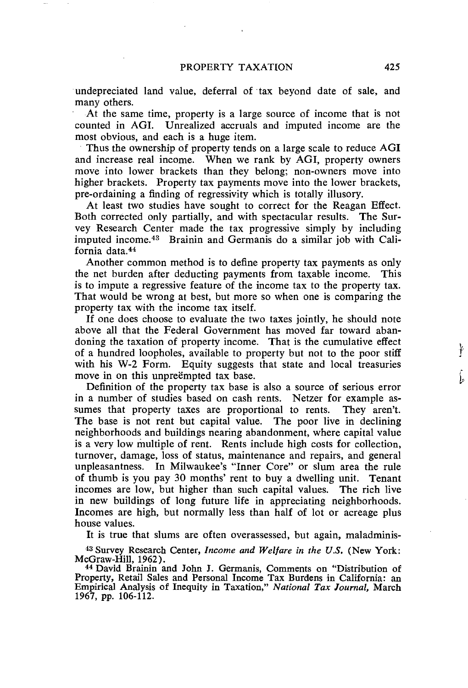undepreciated land value, deferral of tax beyond date of sale, and

At the same time, property is a large source of income that is not counted in AGI. Unrealized accruals and imputed income are the most obvious, and each is a huge item.

Thus the ownership of property tends on a large scale to reduce AGI and increase real income. When we rank by AGI, property owners move into lower brackets than they belong; non-owners move into higher brackets. Property tax payments move into the lower brackets, pre-ordaining a finding of regressivity which is totally illusory. At least two studies have sought to correct for the Reagan Effect.

Both corrected only partially, and with spectacular results. The Survey Research Center made the tax progressive simply by including imputed income.43 Brainin and Germanis do a similar job with California data.44

Another common method is to define property tax payments as only the net burden after deducting payments from taxable income. This is to impute a regressive feature of the income tax to the property tax. That would be wrong at best, but more so when one is comparing the property tax with the income tax itself.

If one does choose to evaluate the two taxes jointly, he should note above all that the Federal Government has moved far toward abandoning the taxation of property income. That is the cumulative effect of a hundred loopholes, available to property but not to the poor stiff with his W-2 Form. Equity suggests that state and local treasuries move in on this unpreëmpted tax base.

Definition of the property tax base is also a source of serious error in a number of studies based on cash rents. Netzer for example assumes that property taxes are proportional to rents. They aren't. The base is not rent but capital value. The poor live in declining neighborhoods and buildings nearing abandonment, where capital value is a very low multiple of rent. Rents include high costs for collection, turnover, damage, loss of status, maintenance and repairs, and general unpleasantness. In Milwaukee's "Inner Core" or slum area the rule of thumb is you pay 30 months' rent to buy a dwelling unit. Tenant incomes are low, but higher than such capital values. The rich live in new buildings of long future life in appreciating neighborhoods. Incomes are high, but normally less than half of lot or acreage plus house values.

It is true that slums are often overassessed, but again, maladminis-

 $^{43}$  Survey Research Center, Income and Welfare in the U.S. (New York: McGraw-Hill, 1962).

McGraw-Hill, 1962).<br><sup>44</sup> David Brainin and John J. Germanis, Comments on "Distribution of Property, Retail Sales and Personal Income Tax Burdens in California: an Empirical Analysis of Inequity in Taxation," National Tax Journal, March 1967, pp. 106-112.